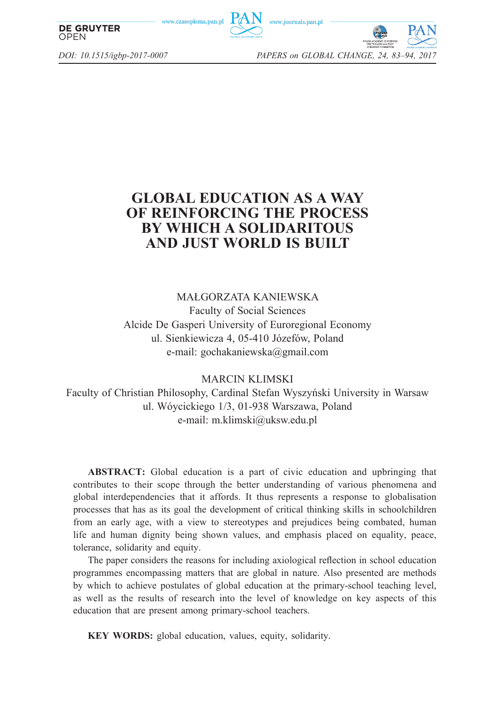www.czasopisma.pan.p





*DOI: 10.1515/igbp-2017-0007 PAPERS on GLOBAL CHANGE, 24, 83–94, 2017*

**OPEN** 

**DE GRUYTER** 

# **GLOBAL EDUCATION AS A WAY OF REINFORCING THE PROCESS BY WHICH A SOLIDARITOUS AND JUST WORLD IS BUILT**

MAŁGORZATA KANIEWSKA Faculty of Social Sciences Alcide De Gasperi University of Euroregional Economy ul. Sienkiewicza 4, 05-410 Józefów, Poland e-mail: gochakaniewska@gmail.com

MARCIN KLIMSKI

Faculty of Christian Philosophy, Cardinal Stefan Wyszyński University in Warsaw ul. Wóycickiego 1/3, 01-938 Warszawa, Poland e-mail: m.klimski@uksw.edu.pl

**ABSTRACT:** Global education is a part of civic education and upbringing that contributes to their scope through the better understanding of various phenomena and global interdependencies that it affords. It thus represents a response to globalisation processes that has as its goal the development of critical thinking skills in schoolchildren from an early age, with a view to stereotypes and prejudices being combated, human life and human dignity being shown values, and emphasis placed on equality, peace, tolerance, solidarity and equity.

The paper considers the reasons for including axiological reflection in school education programmes encompassing matters that are global in nature. Also presented are methods by which to achieve postulates of global education at the primary-school teaching level, as well as the results of research into the level of knowledge on key aspects of this education that are present among primary-school teachers.

**KEY WORDS:** global education, values, equity, solidarity.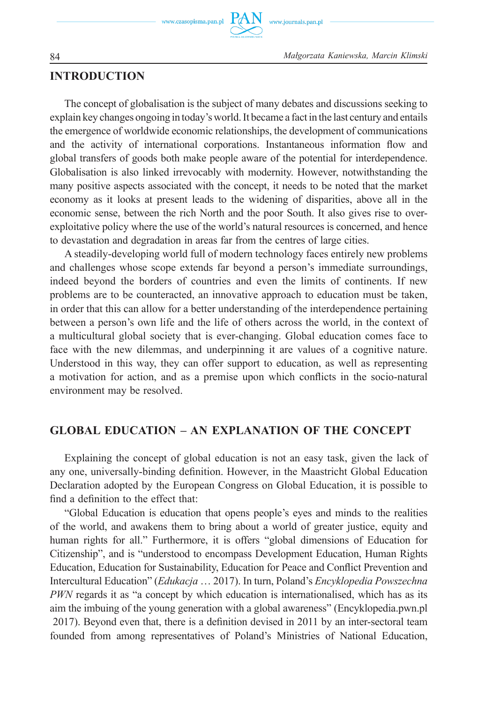www.czasopisma.pan.pl

84 *Małgorzata Kaniewska, Marcin Klimski*

# **INTRODUCTION**

The concept of globalisation is the subject of many debates and discussions seeking to explain key changes ongoing in today's world. It became a fact in the last century and entails the emergence of worldwide economic relationships, the development of communications and the activity of international corporations. Instantaneous information flow and global transfers of goods both make people aware of the potential for interdependence. Globalisation is also linked irrevocably with modernity. However, notwithstanding the many positive aspects associated with the concept, it needs to be noted that the market economy as it looks at present leads to the widening of disparities, above all in the economic sense, between the rich North and the poor South. It also gives rise to overexploitative policy where the use of the world's natural resources is concerned, and hence to devastation and degradation in areas far from the centres of large cities.

A steadily-developing world full of modern technology faces entirely new problems and challenges whose scope extends far beyond a person's immediate surroundings, indeed beyond the borders of countries and even the limits of continents. If new problems are to be counteracted, an innovative approach to education must be taken, in order that this can allow for a better understanding of the interdependence pertaining between a person's own life and the life of others across the world, in the context of a multicultural global society that is ever-changing. Global education comes face to face with the new dilemmas, and underpinning it are values of a cognitive nature. Understood in this way, they can offer support to education, as well as representing a motivation for action, and as a premise upon which conflicts in the socio-natural environment may be resolved.

# **GLOBAL EDUCATION – AN EXPLANATION OF THE CONCEPT**

Explaining the concept of global education is not an easy task, given the lack of any one, universally-binding definition. However, in the Maastricht Global Education Declaration adopted by the European Congress on Global Education, it is possible to find a definition to the effect that:

"Global Education is education that opens people's eyes and minds to the realities of the world, and awakens them to bring about a world of greater justice, equity and human rights for all." Furthermore, it is offers "global dimensions of Education for Citizenship", and is "understood to encompass Development Education, Human Rights Education, Education for Sustainability, Education for Peace and Conflict Prevention and Intercultural Education" (*Edukacja* … 2017). In turn, Poland's *Encyklopedia Powszechna PWN* regards it as "a concept by which education is internationalised, which has as its aim the imbuing of the young generation with a global awareness" (Encyklopedia.pwn.pl 2017). Beyond even that, there is a definition devised in 2011 by an inter-sectoral team founded from among representatives of Poland's Ministries of National Education,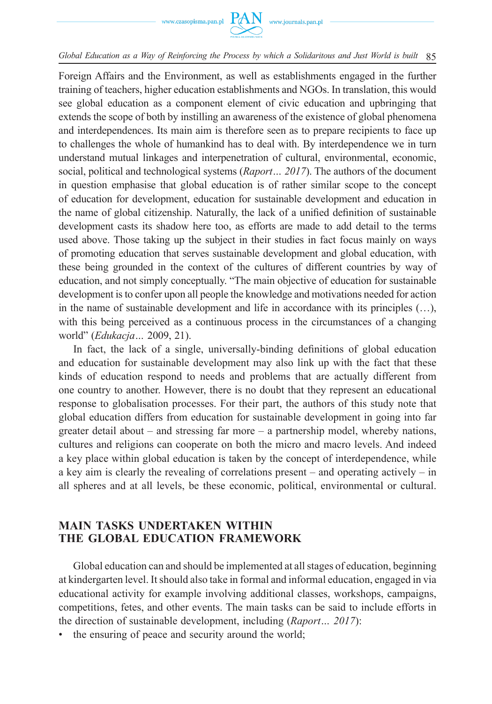Foreign Affairs and the Environment, as well as establishments engaged in the further training of teachers, higher education establishments and NGOs. In translation, this would see global education as a component element of civic education and upbringing that extends the scope of both by instilling an awareness of the existence of global phenomena and interdependences. Its main aim is therefore seen as to prepare recipients to face up to challenges the whole of humankind has to deal with. By interdependence we in turn understand mutual linkages and interpenetration of cultural, environmental, economic, social, political and technological systems (*Raport… 2017*). The authors of the document in question emphasise that global education is of rather similar scope to the concept of education for development, education for sustainable development and education in the name of global citizenship. Naturally, the lack of a unified definition of sustainable development casts its shadow here too, as efforts are made to add detail to the terms used above. Those taking up the subject in their studies in fact focus mainly on ways of promoting education that serves sustainable development and global education, with these being grounded in the context of the cultures of different countries by way of education, and not simply conceptually. "The main objective of education for sustainable development is to confer upon all people the knowledge and motivations needed for action in the name of sustainable development and life in accordance with its principles (…), with this being perceived as a continuous process in the circumstances of a changing world" (*Edukacja…* 2009, 21).

In fact, the lack of a single, universally-binding definitions of global education and education for sustainable development may also link up with the fact that these kinds of education respond to needs and problems that are actually different from one country to another. However, there is no doubt that they represent an educational response to globalisation processes. For their part, the authors of this study note that global education differs from education for sustainable development in going into far greater detail about – and stressing far more – a partnership model, whereby nations, cultures and religions can cooperate on both the micro and macro levels. And indeed a key place within global education is taken by the concept of interdependence, while a key aim is clearly the revealing of correlations present – and operating actively – in all spheres and at all levels, be these economic, political, environmental or cultural.

# **MAIN TASKS UNDERTAKEN WITHIN THE GLOBAL EDUCATION FRAMEWORK**

Global education can and should be implemented at all stages of education, beginning at kindergarten level. It should also take in formal and informal education, engaged in via educational activity for example involving additional classes, workshops, campaigns, competitions, fetes, and other events. The main tasks can be said to include efforts in the direction of sustainable development, including (*Raport… 2017*):

the ensuring of peace and security around the world;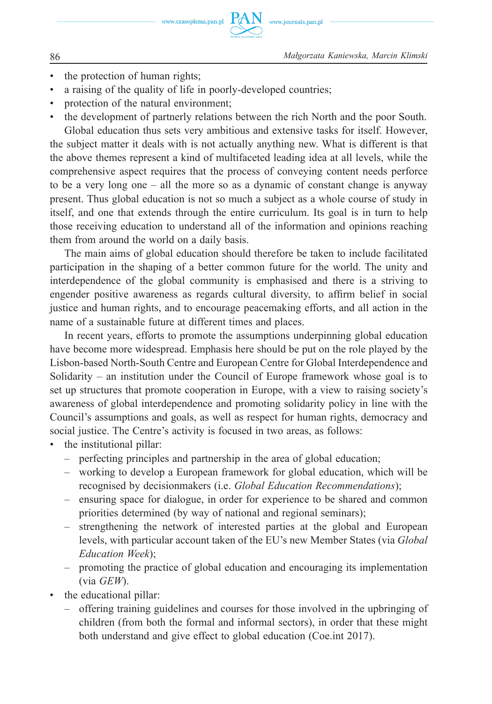- the protection of human rights:
- a raising of the quality of life in poorly-developed countries;
- protection of the natural environment;
- the development of partnerly relations between the rich North and the poor South. Global education thus sets very ambitious and extensive tasks for itself. However, the subject matter it deals with is not actually anything new. What is different is that the above themes represent a kind of multifaceted leading idea at all levels, while the comprehensive aspect requires that the process of conveying content needs perforce to be a very long one – all the more so as a dynamic of constant change is anyway present. Thus global education is not so much a subject as a whole course of study in itself, and one that extends through the entire curriculum. Its goal is in turn to help those receiving education to understand all of the information and opinions reaching them from around the world on a daily basis.

The main aims of global education should therefore be taken to include facilitated participation in the shaping of a better common future for the world. The unity and interdependence of the global community is emphasised and there is a striving to engender positive awareness as regards cultural diversity, to affirm belief in social justice and human rights, and to encourage peacemaking efforts, and all action in the name of a sustainable future at different times and places.

In recent years, efforts to promote the assumptions underpinning global education have become more widespread. Emphasis here should be put on the role played by the Lisbon-based North-South Centre and European Centre for Global Interdependence and Solidarity – an institution under the Council of Europe framework whose goal is to set up structures that promote cooperation in Europe, with a view to raising society's awareness of global interdependence and promoting solidarity policy in line with the Council's assumptions and goals, as well as respect for human rights, democracy and social justice. The Centre's activity is focused in two areas, as follows:

- the institutional pillar:
	- perfecting principles and partnership in the area of global education;
	- working to develop a European framework for global education, which will be recognised by decisionmakers (i.e. *Global Education Recommendations*);
	- ensuring space for dialogue, in order for experience to be shared and common priorities determined (by way of national and regional seminars);
	- strengthening the network of interested parties at the global and European levels, with particular account taken of the EU's new Member States (via *Global Education Week*);
	- promoting the practice of global education and encouraging its implementation (via *GEW*).
- the educational pillar:
	- offering training guidelines and courses for those involved in the upbringing of children (from both the formal and informal sectors), in order that these might both understand and give effect to global education (Coe.int 2017).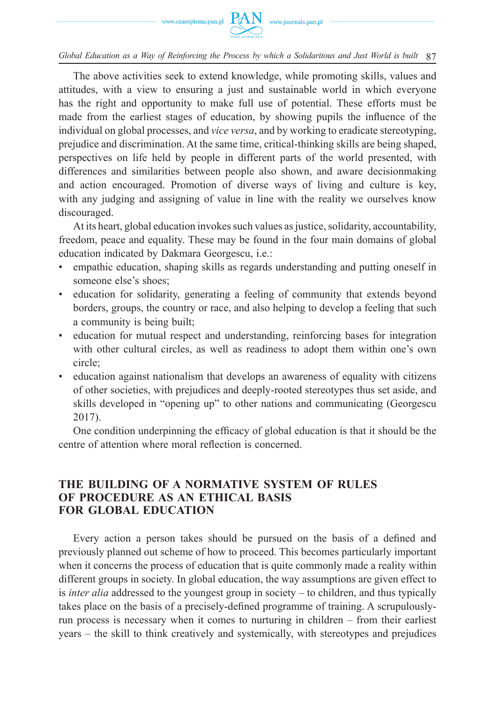The above activities seek to extend knowledge, while promoting skills, values and attitudes, with a view to ensuring a just and sustainable world in which everyone has the right and opportunity to make full use of potential. These efforts must be made from the earliest stages of education, by showing pupils the influence of the individual on global processes, and *vice versa*, and by working to eradicate stereotyping, prejudice and discrimination. At the same time, critical-thinking skills are being shaped, perspectives on life held by people in different parts of the world presented, with differences and similarities between people also shown, and aware decisionmaking and action encouraged. Promotion of diverse ways of living and culture is key, with any judging and assigning of value in line with the reality we ourselves know discouraged.

At its heart, global education invokes such values as justice, solidarity, accountability, freedom, peace and equality. These may be found in the four main domains of global education indicated by Dakmara Georgescu, i.e.:

- empathic education, shaping skills as regards understanding and putting oneself in someone else's shoes;
- education for solidarity, generating a feeling of community that extends beyond borders, groups, the country or race, and also helping to develop a feeling that such a community is being built;
- education for mutual respect and understanding, reinforcing bases for integration with other cultural circles, as well as readiness to adopt them within one's own circle;
- education against nationalism that develops an awareness of equality with citizens of other societies, with prejudices and deeply-rooted stereotypes thus set aside, and skills developed in "opening up" to other nations and communicating (Georgescu 2017).

One condition underpinning the efficacy of global education is that it should be the centre of attention where moral reflection is concerned.

## **THE BUILDING OF A NORMATIVE SYSTEM OF RULES OF PROCEDURE AS AN ETHICAL BASIS FOR GLOBAL EDUCATION**

Every action a person takes should be pursued on the basis of a defined and previously planned out scheme of how to proceed. This becomes particularly important when it concerns the process of education that is quite commonly made a reality within different groups in society. In global education, the way assumptions are given effect to is *inter alia* addressed to the youngest group in society – to children, and thus typically takes place on the basis of a precisely-defined programme of training. A scrupulouslyrun process is necessary when it comes to nurturing in children – from their earliest years – the skill to think creatively and systemically, with stereotypes and prejudices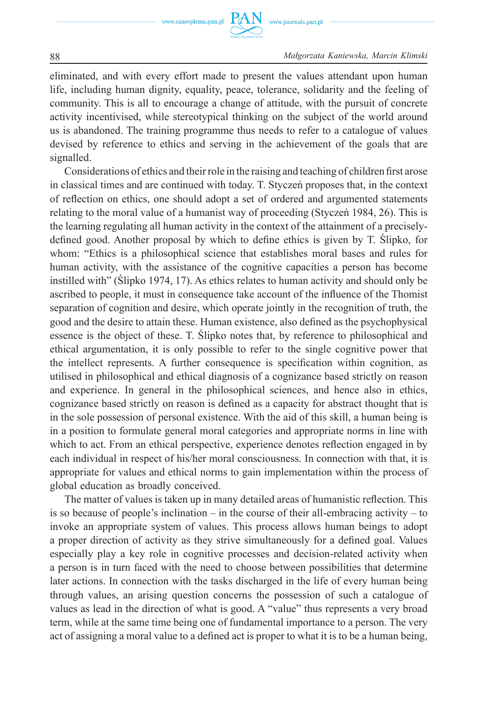www.czasopisma.pan.pl



88 *Małgorzata Kaniewska, Marcin Klimski*

eliminated, and with every effort made to present the values attendant upon human life, including human dignity, equality, peace, tolerance, solidarity and the feeling of community. This is all to encourage a change of attitude, with the pursuit of concrete activity incentivised, while stereotypical thinking on the subject of the world around us is abandoned. The training programme thus needs to refer to a catalogue of values devised by reference to ethics and serving in the achievement of the goals that are signalled.

Considerations of ethics and their role in the raising and teaching of children first arose in classical times and are continued with today. T. Styczeń proposes that, in the context of refl ection on ethics, one should adopt a set of ordered and argumented statements relating to the moral value of a humanist way of proceeding (Styczeń 1984, 26). This is the learning regulating all human activity in the context of the attainment of a preciselydefined good. Another proposal by which to define ethics is given by T. Slipko, for whom: "Ethics is a philosophical science that establishes moral bases and rules for human activity, with the assistance of the cognitive capacities a person has become instilled with" (Ślipko 1974, 17). As ethics relates to human activity and should only be ascribed to people, it must in consequence take account of the influence of the Thomist separation of cognition and desire, which operate jointly in the recognition of truth, the good and the desire to attain these. Human existence, also defined as the psychophysical essence is the object of these. T. Ślipko notes that, by reference to philosophical and ethical argumentation, it is only possible to refer to the single cognitive power that the intellect represents. A further consequence is specification within cognition, as utilised in philosophical and ethical diagnosis of a cognizance based strictly on reason and experience. In general in the philosophical sciences, and hence also in ethics, cognizance based strictly on reason is defined as a capacity for abstract thought that is in the sole possession of personal existence. With the aid of this skill, a human being is in a position to formulate general moral categories and appropriate norms in line with which to act. From an ethical perspective, experience denotes reflection engaged in by each individual in respect of his/her moral consciousness. In connection with that, it is appropriate for values and ethical norms to gain implementation within the process of global education as broadly conceived.

The matter of values is taken up in many detailed areas of humanistic reflection. This is so because of people's inclination – in the course of their all-embracing activity – to invoke an appropriate system of values. This process allows human beings to adopt a proper direction of activity as they strive simultaneously for a defined goal. Values especially play a key role in cognitive processes and decision-related activity when a person is in turn faced with the need to choose between possibilities that determine later actions. In connection with the tasks discharged in the life of every human being through values, an arising question concerns the possession of such a catalogue of values as lead in the direction of what is good. A "value" thus represents a very broad term, while at the same time being one of fundamental importance to a person. The very act of assigning a moral value to a defined act is proper to what it is to be a human being,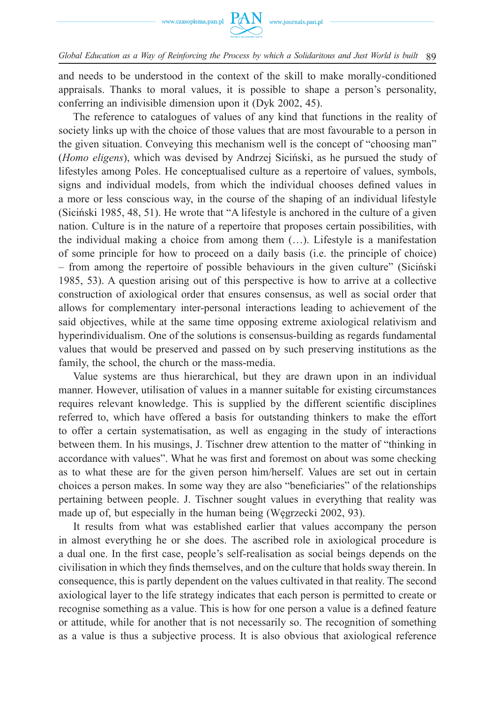

and needs to be understood in the context of the skill to make morally-conditioned appraisals. Thanks to moral values, it is possible to shape a person's personality, conferring an indivisible dimension upon it (Dyk 2002, 45).

The reference to catalogues of values of any kind that functions in the reality of society links up with the choice of those values that are most favourable to a person in the given situation. Conveying this mechanism well is the concept of "choosing man" (*Homo eligens*), which was devised by Andrzej Siciński, as he pursued the study of lifestyles among Poles. He conceptualised culture as a repertoire of values, symbols, signs and individual models, from which the individual chooses defined values in a more or less conscious way, in the course of the shaping of an individual lifestyle (Siciński 1985, 48, 51). He wrote that "A lifestyle is anchored in the culture of a given nation. Culture is in the nature of a repertoire that proposes certain possibilities, with the individual making a choice from among them (…). Lifestyle is a manifestation of some principle for how to proceed on a daily basis (i.e. the principle of choice) – from among the repertoire of possible behaviours in the given culture" (Siciński 1985, 53). A question arising out of this perspective is how to arrive at a collective construction of axiological order that ensures consensus, as well as social order that allows for complementary inter-personal interactions leading to achievement of the said objectives, while at the same time opposing extreme axiological relativism and hyperindividualism. One of the solutions is consensus-building as regards fundamental values that would be preserved and passed on by such preserving institutions as the family, the school, the church or the mass-media.

Value systems are thus hierarchical, but they are drawn upon in an individual manner. However, utilisation of values in a manner suitable for existing circumstances requires relevant knowledge. This is supplied by the different scientific disciplines referred to, which have offered a basis for outstanding thinkers to make the effort to offer a certain systematisation, as well as engaging in the study of interactions between them. In his musings, J. Tischner drew attention to the matter of "thinking in accordance with values". What he was first and foremost on about was some checking as to what these are for the given person him/herself. Values are set out in certain choices a person makes. In some way they are also "beneficiaries" of the relationships pertaining between people. J. Tischner sought values in everything that reality was made up of, but especially in the human being (Węgrzecki 2002, 93).

It results from what was established earlier that values accompany the person in almost everything he or she does. The ascribed role in axiological procedure is a dual one. In the first case, people's self-realisation as social beings depends on the civilisation in which they finds themselves, and on the culture that holds sway therein. In consequence, this is partly dependent on the values cultivated in that reality. The second axiological layer to the life strategy indicates that each person is permitted to create or recognise something as a value. This is how for one person a value is a defined feature or attitude, while for another that is not necessarily so. The recognition of something as a value is thus a subjective process. It is also obvious that axiological reference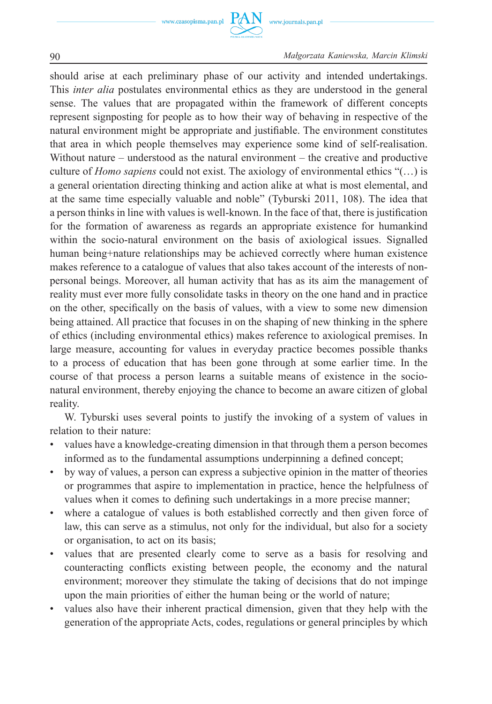www.czasopisma.pan.pl

 $PAN$  www.journals.pan.pl



90 *Małgorzata Kaniewska, Marcin Klimski*

should arise at each preliminary phase of our activity and intended undertakings. This *inter alia* postulates environmental ethics as they are understood in the general sense. The values that are propagated within the framework of different concepts represent signposting for people as to how their way of behaving in respective of the natural environment might be appropriate and justifiable. The environment constitutes that area in which people themselves may experience some kind of self-realisation. Without nature – understood as the natural environment – the creative and productive culture of *Homo sapiens* could not exist. The axiology of environmental ethics "(…) is a general orientation directing thinking and action alike at what is most elemental, and at the same time especially valuable and noble" (Tyburski 2011, 108). The idea that a person thinks in line with values is well-known. In the face of that, there is justification for the formation of awareness as regards an appropriate existence for humankind within the socio-natural environment on the basis of axiological issues. Signalled human being+nature relationships may be achieved correctly where human existence makes reference to a catalogue of values that also takes account of the interests of nonpersonal beings. Moreover, all human activity that has as its aim the management of reality must ever more fully consolidate tasks in theory on the one hand and in practice on the other, specifically on the basis of values, with a view to some new dimension being attained. All practice that focuses in on the shaping of new thinking in the sphere of ethics (including environmental ethics) makes reference to axiological premises. In large measure, accounting for values in everyday practice becomes possible thanks to a process of education that has been gone through at some earlier time. In the course of that process a person learns a suitable means of existence in the socionatural environment, thereby enjoying the chance to become an aware citizen of global reality.

W. Tyburski uses several points to justify the invoking of a system of values in relation to their nature:

- values have a knowledge-creating dimension in that through them a person becomes informed as to the fundamental assumptions underpinning a defined concept;
- by way of values, a person can express a subjective opinion in the matter of theories or programmes that aspire to implementation in practice, hence the helpfulness of values when it comes to defining such undertakings in a more precise manner;
- where a catalogue of values is both established correctly and then given force of law, this can serve as a stimulus, not only for the individual, but also for a society or organisation, to act on its basis;
- values that are presented clearly come to serve as a basis for resolving and counteracting conflicts existing between people, the economy and the natural environment; moreover they stimulate the taking of decisions that do not impinge upon the main priorities of either the human being or the world of nature;
- values also have their inherent practical dimension, given that they help with the generation of the appropriate Acts, codes, regulations or general principles by which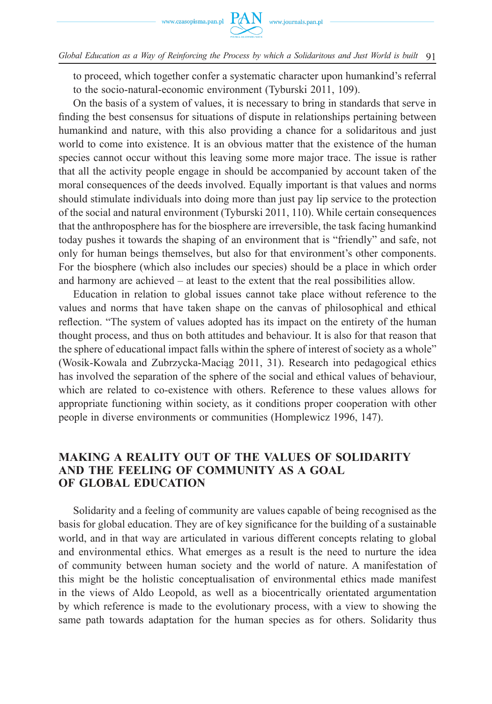to proceed, which together confer a systematic character upon humankind's referral to the socio-natural-economic environment (Tyburski 2011, 109).

On the basis of a system of values, it is necessary to bring in standards that serve in finding the best consensus for situations of dispute in relationships pertaining between humankind and nature, with this also providing a chance for a solidaritous and just world to come into existence. It is an obvious matter that the existence of the human species cannot occur without this leaving some more major trace. The issue is rather that all the activity people engage in should be accompanied by account taken of the moral consequences of the deeds involved. Equally important is that values and norms should stimulate individuals into doing more than just pay lip service to the protection of the social and natural environment (Tyburski 2011, 110). While certain consequences that the anthroposphere has for the biosphere are irreversible, the task facing humankind today pushes it towards the shaping of an environment that is "friendly" and safe, not only for human beings themselves, but also for that environment's other components. For the biosphere (which also includes our species) should be a place in which order and harmony are achieved – at least to the extent that the real possibilities allow.

Education in relation to global issues cannot take place without reference to the values and norms that have taken shape on the canvas of philosophical and ethical reflection. "The system of values adopted has its impact on the entirety of the human thought process, and thus on both attitudes and behaviour. It is also for that reason that the sphere of educational impact falls within the sphere of interest of society as a whole" (Wosik-Kowala and Zubrzycka-Maciąg 2011, 31). Research into pedagogical ethics has involved the separation of the sphere of the social and ethical values of behaviour, which are related to co-existence with others. Reference to these values allows for appropriate functioning within society, as it conditions proper cooperation with other people in diverse environments or communities (Homplewicz 1996, 147).

## **MAKING A REALITY OUT OF THE VALUES OF SOLIDARITY AND THE FEELING OF COMMUNITY AS A GOAL OF GLOBAL EDUCATION**

Solidarity and a feeling of community are values capable of being recognised as the basis for global education. They are of key significance for the building of a sustainable world, and in that way are articulated in various different concepts relating to global and environmental ethics. What emerges as a result is the need to nurture the idea of community between human society and the world of nature. A manifestation of this might be the holistic conceptualisation of environmental ethics made manifest in the views of Aldo Leopold, as well as a biocentrically orientated argumentation by which reference is made to the evolutionary process, with a view to showing the same path towards adaptation for the human species as for others. Solidarity thus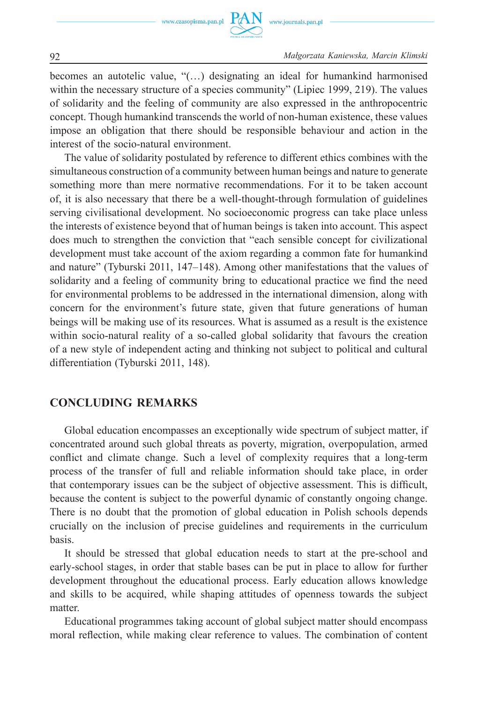

92 *Małgorzata Kaniewska, Marcin Klimski*

becomes an autotelic value, "(…) designating an ideal for humankind harmonised within the necessary structure of a species community" (Lipiec 1999, 219). The values of solidarity and the feeling of community are also expressed in the anthropocentric concept. Though humankind transcends the world of non-human existence, these values impose an obligation that there should be responsible behaviour and action in the interest of the socio-natural environment.

The value of solidarity postulated by reference to different ethics combines with the simultaneous construction of a community between human beings and nature to generate something more than mere normative recommendations. For it to be taken account of, it is also necessary that there be a well-thought-through formulation of guidelines serving civilisational development. No socioeconomic progress can take place unless the interests of existence beyond that of human beings is taken into account. This aspect does much to strengthen the conviction that "each sensible concept for civilizational development must take account of the axiom regarding a common fate for humankind and nature" (Tyburski 2011, 147–148). Among other manifestations that the values of solidarity and a feeling of community bring to educational practice we find the need for environmental problems to be addressed in the international dimension, along with concern for the environment's future state, given that future generations of human beings will be making use of its resources. What is assumed as a result is the existence within socio-natural reality of a so-called global solidarity that favours the creation of a new style of independent acting and thinking not subject to political and cultural differentiation (Tyburski 2011, 148).

## **CONCLUDING REMARKS**

Global education encompasses an exceptionally wide spectrum of subject matter, if concentrated around such global threats as poverty, migration, overpopulation, armed conflict and climate change. Such a level of complexity requires that a long-term process of the transfer of full and reliable information should take place, in order that contemporary issues can be the subject of objective assessment. This is difficult, because the content is subject to the powerful dynamic of constantly ongoing change. There is no doubt that the promotion of global education in Polish schools depends crucially on the inclusion of precise guidelines and requirements in the curriculum basis.

It should be stressed that global education needs to start at the pre-school and early-school stages, in order that stable bases can be put in place to allow for further development throughout the educational process. Early education allows knowledge and skills to be acquired, while shaping attitudes of openness towards the subject matter.

Educational programmes taking account of global subject matter should encompass moral reflection, while making clear reference to values. The combination of content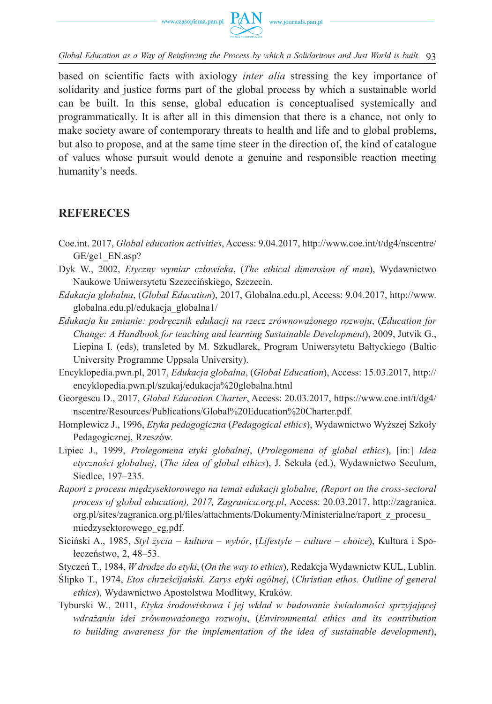

based on scientific facts with axiology *inter alia* stressing the key importance of solidarity and justice forms part of the global process by which a sustainable world can be built. In this sense, global education is conceptualised systemically and programmatically. It is after all in this dimension that there is a chance, not only to make society aware of contemporary threats to health and life and to global problems, but also to propose, and at the same time steer in the direction of, the kind of catalogue of values whose pursuit would denote a genuine and responsible reaction meeting humanity's needs.

## **REFERECES**

- Coe.int. 2017, *Global education activities*, Access: 9.04.2017, http://www.coe.int/t/dg4/nscentre/ GE/ge1\_EN.asp?
- Dyk W., 2002, *Etyczny wymiar człowieka*, (*The ethical dimension of man*), Wydawnictwo Naukowe Uniwersytetu Szczecińskiego, Szczecin.
- *Edukacja globalna*, (*Global Education*), 2017, Globalna.edu.pl, Access: 9.04.2017, http://www. globalna.edu.pl/edukacja\_globalna1/
- *Edukacja ku zmianie: podręcznik edukacji na rzecz zrównoważonego rozwoju*, (*Education for Change: A Handbook for teaching and learning Sustainable Development*), 2009, Jutvik G., Liepina I. (eds), transleted by M. Szkudlarek, Program Uniwersytetu Bałtyckiego (Baltic University Programme Uppsala University).
- Encyklopedia.pwn.pl, 2017, *Edukacja globalna*, (*Global Education*), Access: 15.03.2017, http:// encyklopedia.pwn.pl/szukaj/edukacja%20globalna.html
- Georgescu D., 2017, *Global Education Charter*, Access: 20.03.2017, https://www.coe.int/t/dg4/ nscentre/Resources/Publications/Global%20Education%20Charter.pdf.
- Homplewicz J., 1996, *Etyka pedagogiczna* (*Pedagogical ethics*), Wydawnictwo Wyższej Szkoły Pedagogicznej, Rzeszów.
- Lipiec J., 1999, *Prolegomena etyki globalnej*, (*Prolegomena of global ethics*), [in:] *Idea etyczności globalnej*, (*The idea of global ethics*), J. Sekuła (ed.), Wydawnictwo Seculum, Siedlce, 197-235.
- *Raport z procesu międzysektorowego na temat edukacji globalne, (Report on the cross-sectoral process of global education), 2017, Zagranica.org.pl*, Access: 20.03.2017, http://zagranica. org.pl/sites/zagranica.org.pl/files/attachments/Dokumenty/Ministerialne/raport\_z\_procesu miedzysektorowego\_eg.pdf.
- Siciński A., 1985, *Styl życia kultura wybór*, (*Lifestyle culture choice*), Kultura i Społeczeństwo, 2, 48–53.
- Styczeń T., 1984, *W drodze do etyki*, (*On the way to ethics*), Redakcja Wydawnictw KUL, Lublin.
- Ślipko T., 1974, *Etos chrześcijański. Zarys etyki ogólnej*, (*Christian ethos. Outline of general ethics*), Wydawnictwo Apostolstwa Modlitwy, Kraków.
- Tyburski W., 2011, *Etyka środowiskowa i jej wkład w budowanie świadomości sprzyjającej wdrażaniu idei zrównoważonego rozwoju*, (*Environmental ethics and its contribution to building awareness for the implementation of the idea of sustainable development*),